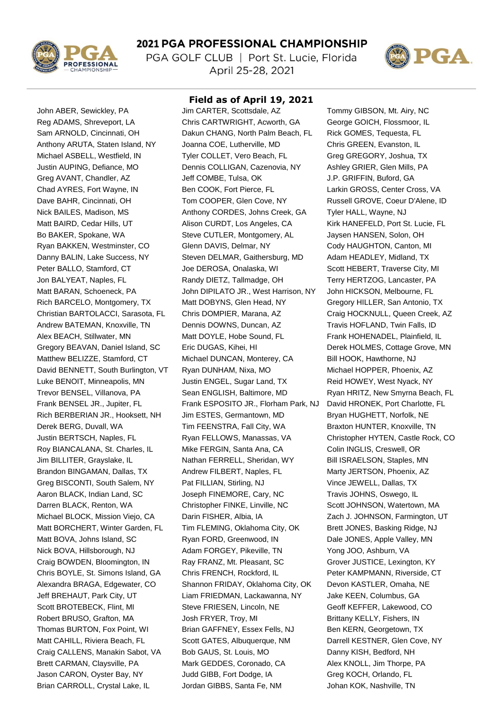

## 2021 PGA PROFESSIONAL CHAMPIONSHIP

PGA GOLF CLUB | Port St. Lucie, Florida April 25-28, 2021



John ABER, Sewickley, PA Jim CARTER, Scottsdale, AZ Tommy GIBSON, Mt. Airy, NC

## **Field as of April 19, 2021**

Reg ADAMS, Shreveport, LA Chris CARTWRIGHT, Acworth, GA George GOICH, Flossmoor, IL Sam ARNOLD, Cincinnati, OH Dakun CHANG, North Palm Beach, FL Rick GOMES, Tequesta, FL Anthony ARUTA, Staten Island, NY Joanna COE, Lutherville, MD Chris GREEN, Evanston, IL Michael ASBELL, Westfield, IN Tyler COLLET, Vero Beach, FL Greg GREGORY, Joshua, TX Justin AUPING, Defiance, MO Dennis COLLIGAN, Cazenovia, NY Ashley GRIER, Glen Mills, PA Greg AVANT, Chandler, AZ Jeff COMBE, Tulsa, OK J.P. GRIFFIN, Buford, GA Chad AYRES, Fort Wayne, IN
Ben COOK, Fort Pierce, FL
Ben Cook, Fort Pierce, FL
Ben Cook, Fort Pierce, FL
Ben Cook, Fort Pierce, FL
Ben Cook, Fort Pierce, FL
Ben Cook, Fort Pierce, FL
Ben Cook, Fort Pierce, FL
Ben Cross, VA Dave BAHR, Cincinnati, OH Tom COOPER, Glen Cove, NY Russell GROVE, Coeur D'Alene, ID Nick BAILES, Madison, MS **Anthony CORDES, Johns Creek, GA** Tyler HALL, Wayne, NJ Matt BAIRD, Cedar Hills, UT Alison CURDT, Los Angeles, CA Kirk HANEFELD, Port St. Lucie, FL Bo BAKER, Spokane, WA Steve CUTLER, Montgomery, AL Jaysen HANSEN, Solon, OH Ryan BAKKEN, Westminster, CO Glenn DAVIS, Delmar, NY Cody HAUGHTON, Canton, MI Danny BALIN, Lake Success, NY Steven DELMAR, Gaithersburg, MD Adam HEADLEY, Midland, TX Peter BALLO, Stamford, CT Joe DEROSA, Onalaska, WI Scott HEBERT, Traverse City, MI Jon BALYEAT, Naples, FL **Randy DIETZ, Tallmadge, OH** Terry HERTZOG, Lancaster, PA Matt BARAN, Schoeneck, PA John DIPILATO JR., West Harrison, NY John HICKSON, Melbourne, FL Rich BARCELO, Montgomery, TX Matt DOBYNS, Glen Head, NY Gregory HILLER, San Antonio, TX Christian BARTOLACCI, Sarasota, FL Chris DOMPIER, Marana, AZ Craig HOCKNULL, Queen Creek, AZ Andrew BATEMAN, Knoxville, TN Dennis DOWNS, Duncan, AZ Travis HOFLAND, Twin Falls, ID Alex BEACH, Stillwater, MN Matt DOYLE, Hobe Sound, FL Frank HOHENADEL, Plainfield, IL Gregory BEAVAN, Daniel Island, SC Eric DUGAS, Kihei, HI Derek HOLMES, Cottage Grove, MN Matthew BELIZZE, Stamford, CT Michael DUNCAN, Monterey, CA Bill HOOK, Hawthorne, NJ David BENNETT, South Burlington, VT Ryan DUNHAM, Nixa, MO Michael HOPPER, Phoenix, AZ Luke BENOIT, Minneapolis, MN Justin ENGEL, Sugar Land, TX Reid HOWEY, West Nyack, NY Trevor BENSEL, Villanova, PA Sean ENGLISH, Baltimore, MD Ryan HRITZ, New Smyrna Beach, FL Frank BENSEL JR., Jupiter, FL Frank ESPOSITO JR., Florham Park, NJ David HRONEK, Port Charlotte, FL Rich BERBERIAN JR., Hooksett, NH Jim ESTES, Germantown, MD Bryan HUGHETT, Norfolk, NE Derek BERG, Duvall, WA Tim FEENSTRA, Fall City, WA Braxton HUNTER, Knoxville, TN Justin BERTSCH, Naples, FL Ryan FELLOWS, Manassas, VA Christopher HYTEN, Castle Rock, CO Roy BIANCALANA, St. Charles, IL Mike FERGIN, Santa Ana, CA Colin INGLIS, Creswell, OR Jim BILLITER, Grayslake, IL **Nathan FERRELL, Sheridan, WY** Bill ISRAELSON, Staples, MN Brandon BINGAMAN, Dallas, TX Andrew FILBERT, Naples, FL Marty JERTSON, Phoenix, AZ Greg BISCONTI, South Salem, NY Pat FILLIAN, Stirling, NJ Vince JEWELL, Dallas, TX Aaron BLACK, Indian Land, SC **Joseph FINEMORE, Cary, NC** Travis JOHNS, Oswego, IL Darren BLACK, Renton, WA Christopher FINKE, Linville, NC Scott JOHNSON, Watertown, MA Michael BLOCK, Mission Viejo, CA Darin FISHER, Albia, IA Zach J. JOHNSON, Farmington, UT Matt BORCHERT, Winter Garden, FL Tim FLEMING, Oklahoma City, OK Brett JONES, Basking Ridge, NJ Matt BOVA, Johns Island, SC Ryan FORD, Greenwood, IN Dale JONES, Apple Valley, MN Nick BOVA, Hillsborough, NJ Adam FORGEY, Pikeville, TN Yong JOO, Ashburn, VA Craig BOWDEN, Bloomington, IN Ray FRANZ, Mt. Pleasant, SC Grover JUSTICE, Lexington, KY Chris BOYLE, St. Simons Island, GA Chris FRENCH, Rockford, IL Peter KAMPMANN, Riverside, CT Alexandra BRAGA, Edgewater, CO Shannon FRIDAY, Oklahoma City, OK Devon KASTLER, Omaha, NE Jeff BREHAUT, Park City, UT Liam FRIEDMAN, Lackawanna, NY Jake KEEN, Columbus, GA Scott BROTEBECK, Flint, MI Steve FRIESEN, Lincoln, NE Geoff KEFFER, Lakewood, CO Robert BRUSO, Grafton, MA Josh FRYER, Troy, MI Brittany KELLY, Fishers, IN Thomas BURTON, Fox Point, WI Brian GAFFNEY, Essex Fells, NJ Ben KERN, Georgetown, TX Matt CAHILL, Riviera Beach, FL Scott GATES, Albuquerque, NM Darrell KESTNER, Glen Cove, NY Craig CALLENS, Manakin Sabot, VA Bob GAUS, St. Louis, MO Danny KISH, Bedford, NH Brett CARMAN, Claysville, PA Mark GEDDES, Coronado, CA Alex KNOLL, Jim Thorpe, PA Jason CARON, Oyster Bay, NY Judd GIBB, Fort Dodge, IA Greg KOCH, Orlando, FL Brian CARROLL, Crystal Lake, IL Jordan GIBBS, Santa Fe, NM Johan KOK, Nashville, TN